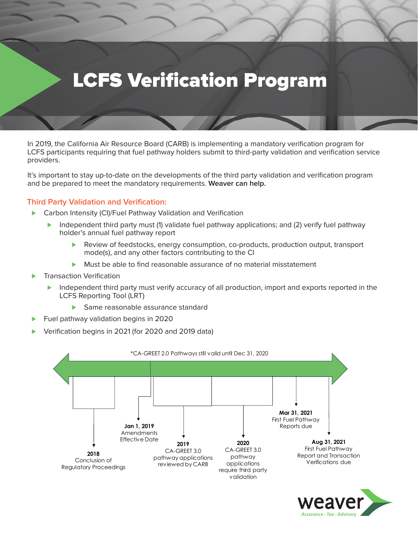# LCFS Verification Program

In 2019, the California Air Resource Board (CARB) is implementing a mandatory verification program for LCFS participants requiring that fuel pathway holders submit to third-party validation and verification service providers.

It's important to stay up-to-date on the developments of the third party validation and verification program and be prepared to meet the mandatory requirements. **Weaver can help.**

### **Third Party Validation and Verification:**

- ▶ Carbon Intensity (CI)/Fuel Pathway Validation and Verification
	- ► Independent third party must (1) validate fuel pathway applications; and (2) verify fuel pathway holder's annual fuel pathway report
		- Review of feedstocks, energy consumption, co-products, production output, transport mode(s), and any other factors contributing to the CI
		- Must be able to find reasonable assurance of no material misstatement
- ⊲ Transaction Verification
	- ► Independent third party must verify accuracy of all production, import and exports reported in the LCFS Reporting Tool (LRT)
		- ▶ Same reasonable assurance standard
- Fuel pathway validation begins in 2020
- ⊲ Verification begins in 2021 (for 2020 and 2019 data)